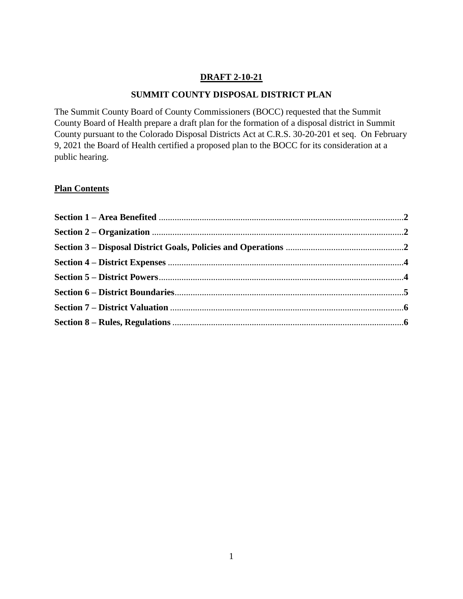### **DRAFT 2-10-21**

#### **SUMMIT COUNTY DISPOSAL DISTRICT PLAN**

The Summit County Board of County Commissioners (BOCC) requested that the Summit County Board of Health prepare a draft plan for the formation of a disposal district in Summit County pursuant to the Colorado Disposal Districts Act at C.R.S. 30-20-201 et seq. On February 9, 2021 the Board of Health certified a proposed plan to the BOCC for its consideration at a public hearing.

### **Plan Contents**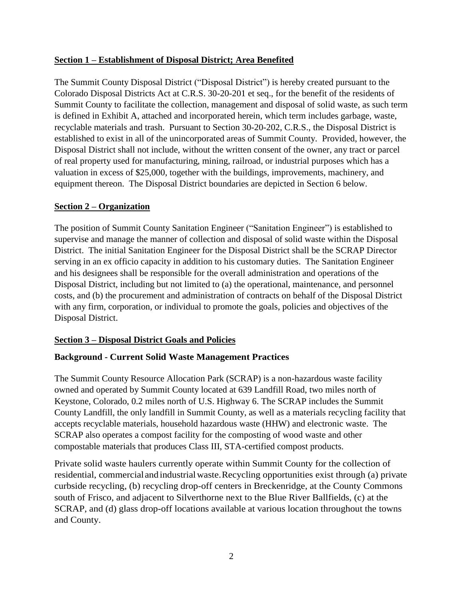### **Section 1 – Establishment of Disposal District; Area Benefited**

The Summit County Disposal District ("Disposal District") is hereby created pursuant to the Colorado Disposal Districts Act at C.R.S. 30-20-201 et seq., for the benefit of the residents of Summit County to facilitate the collection, management and disposal of solid waste, as such term is defined in Exhibit A, attached and incorporated herein, which term includes garbage, waste, recyclable materials and trash. Pursuant to Section 30-20-202, C.R.S., the Disposal District is established to exist in all of the unincorporated areas of Summit County. Provided, however, the Disposal District shall not include, without the written consent of the owner, any tract or parcel of real property used for manufacturing, mining, railroad, or industrial purposes which has a valuation in excess of \$25,000, together with the buildings, improvements, machinery, and equipment thereon. The Disposal District boundaries are depicted in Section 6 below.

# **Section 2 – Organization**

The position of Summit County Sanitation Engineer ("Sanitation Engineer") is established to supervise and manage the manner of collection and disposal of solid waste within the Disposal District. The initial Sanitation Engineer for the Disposal District shall be the SCRAP Director serving in an ex officio capacity in addition to his customary duties. The Sanitation Engineer and his designees shall be responsible for the overall administration and operations of the Disposal District, including but not limited to (a) the operational, maintenance, and personnel costs, and (b) the procurement and administration of contracts on behalf of the Disposal District with any firm, corporation, or individual to promote the goals, policies and objectives of the Disposal District.

### **Section 3 – Disposal District Goals and Policies**

# **Background - Current Solid Waste Management Practices**

The Summit County Resource Allocation Park (SCRAP) is a non-hazardous waste facility owned and operated by Summit County located at 639 Landfill Road, two miles north of Keystone, Colorado, 0.2 miles north of U.S. Highway 6. The SCRAP includes the Summit County Landfill, the only landfill in Summit County, as well as a materials recycling facility that accepts recyclable materials, household hazardous waste (HHW) and electronic waste. The SCRAP also operates a compost facility for the composting of wood waste and other compostable materials that produces Class III, STA-certified compost products.

Private solid waste haulers currently operate within Summit County for the collection of residential, commercialand industrialwaste. Recycling opportunities exist through (a) private curbside recycling, (b) recycling drop-off centers in Breckenridge, at the County Commons south of Frisco, and adjacent to Silverthorne next to the Blue River Ballfields, (c) at the SCRAP, and (d) glass drop-off locations available at various location throughout the towns and County.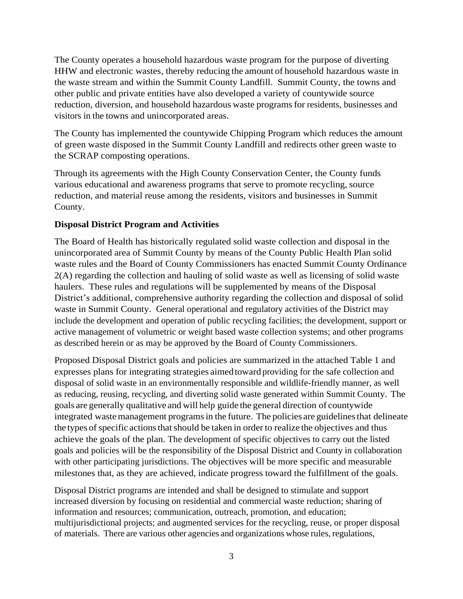The County operates a household hazardous waste program for the purpose of diverting HHW and electronic wastes, thereby reducing the amount of household hazardous waste in the waste stream and within the Summit County Landfill. Summit County, the towns and other public and private entities have also developed a variety of countywide source reduction, diversion, and household hazardous waste programs for residents, businesses and visitors in the towns and unincorporated areas.

The County has implemented the countywide Chipping Program which reduces the amount of green waste disposed in the Summit County Landfill and redirects other green waste to the SCRAP composting operations.

Through its agreements with the High County Conservation Center, the County funds various educational and awareness programs that serve to promote recycling, source reduction, and material reuse among the residents, visitors and businesses in Summit County.

### **Disposal District Program and Activities**

The Board of Health has historically regulated solid waste collection and disposal in the unincorporated area of Summit County by means of the County Public Health Plan solid waste rules and the Board of County Commissioners has enacted Summit County Ordinance 2(A) regarding the collection and hauling of solid waste as well as licensing of solid waste haulers. These rules and regulations will be supplemented by means of the Disposal District's additional, comprehensive authority regarding the collection and disposal of solid waste in Summit County. General operational and regulatory activities of the District may include the development and operation of public recycling facilities; the development, support or active management of volumetric or weight based waste collection systems; and other programs as described herein or as may be approved by the Board of County Commissioners.

Proposed Disposal District goals and policies are summarized in the attached Table 1 and expresses plans for integrating strategies aimedtoward providing for the safe collection and disposal of solid waste in an environmentally responsible and wildlife-friendly manner, as well as reducing, reusing, recycling, and diverting solid waste generated within Summit County. The goals are generally qualitative and will help guide the general direction of countywide integrated wastemanagement programs in the future. The policies are guidelines that delineate the types of specific actions that should be taken in order to realize the objectives and thus achieve the goals of the plan. The development of specific objectives to carry out the listed goals and policies will be the responsibility of the Disposal District and County in collaboration with other participating jurisdictions. The objectives will be more specific and measurable milestones that, as they are achieved, indicate progress toward the fulfillment of the goals.

Disposal District programs are intended and shall be designed to stimulate and support increased diversion by focusing on residential and commercial waste reduction; sharing of information and resources; communication, outreach, promotion, and education; multijurisdictional projects; and augmented services for the recycling, reuse, or proper disposal of materials. There are various other agencies and organizations whose rules, regulations,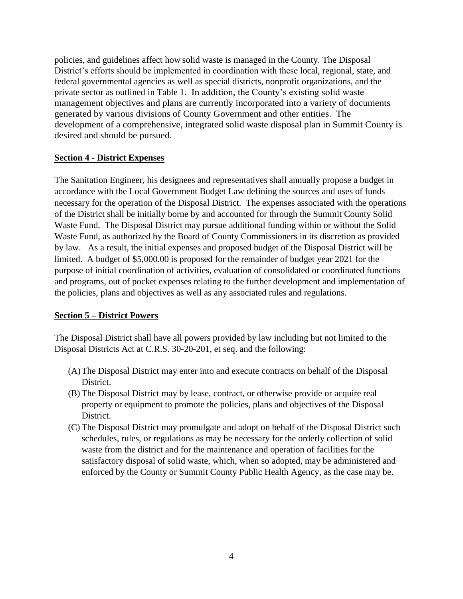policies, and guidelines affect how solid waste is managed in the County. The Disposal District's efforts should be implemented in coordination with these local, regional, state, and federal governmental agencies as well as special districts, nonprofit organizations, and the private sector as outlined in Table 1. In addition, the County's existing solid waste management objectives and plans are currently incorporated into a variety of documents generated by various divisions of County Government and other entities. The development of a comprehensive, integrated solid waste disposal plan in Summit County is desired and should be pursued.

#### **Section 4 - District Expenses**

The Sanitation Engineer, his designees and representatives shall annually propose a budget in accordance with the Local Government Budget Law defining the sources and uses of funds necessary for the operation of the Disposal District. The expenses associated with the operations of the District shall be initially borne by and accounted for through the Summit County Solid Waste Fund. The Disposal District may pursue additional funding within or without the Solid Waste Fund, as authorized by the Board of County Commissioners in its discretion as provided by law. As a result, the initial expenses and proposed budget of the Disposal District will be limited. A budget of \$5,000.00 is proposed for the remainder of budget year 2021 for the purpose of initial coordination of activities, evaluation of consolidated or coordinated functions and programs, out of pocket expenses relating to the further development and implementation of the policies, plans and objectives as well as any associated rules and regulations.

#### **Section 5 – District Powers**

The Disposal District shall have all powers provided by law including but not limited to the Disposal Districts Act at C.R.S. 30-20-201, et seq. and the following:

- (A)The Disposal District may enter into and execute contracts on behalf of the Disposal District.
- (B) The Disposal District may by lease, contract, or otherwise provide or acquire real property or equipment to promote the policies, plans and objectives of the Disposal District.
- (C) The Disposal District may promulgate and adopt on behalf of the Disposal District such schedules, rules, or regulations as may be necessary for the orderly collection of solid waste from the district and for the maintenance and operation of facilities for the satisfactory disposal of solid waste, which, when so adopted, may be administered and enforced by the County or Summit County Public Health Agency, as the case may be.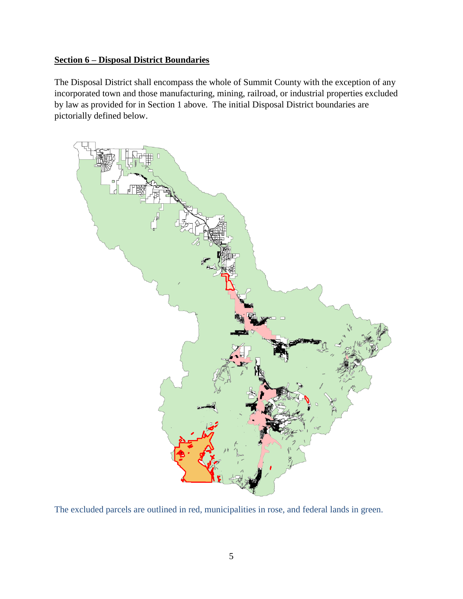# **Section 6 – Disposal District Boundaries**

The Disposal District shall encompass the whole of Summit County with the exception of any incorporated town and those manufacturing, mining, railroad, or industrial properties excluded by law as provided for in Section 1 above. The initial Disposal District boundaries are pictorially defined below.



The excluded parcels are outlined in red, municipalities in rose, and federal lands in green.